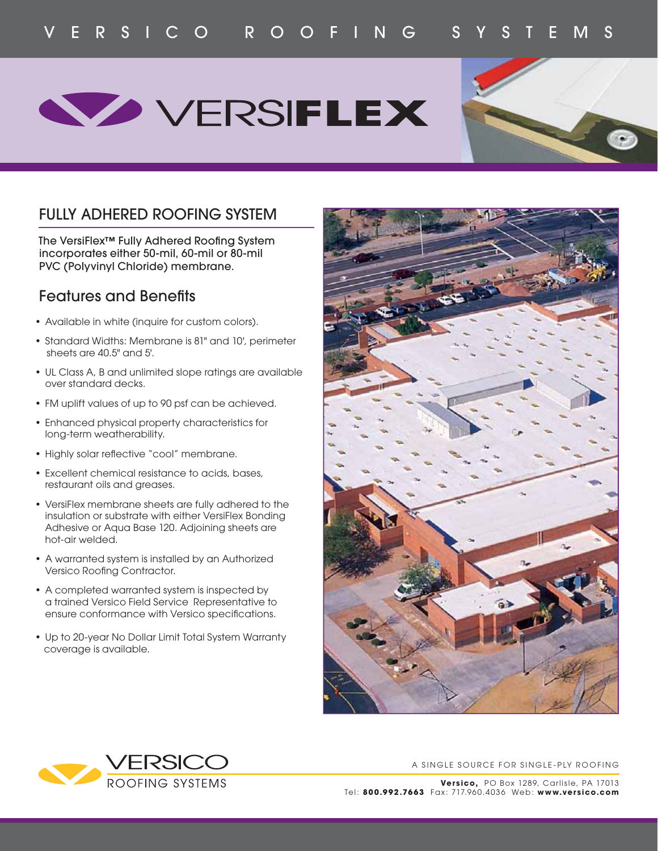## **WERSIFLEX**



## FULLY ADHERED ROOFING SYSTEM

The VersiFlex<sup>™</sup> Fully Adhered Roofing System incorporates either 50-mil, 60-mil or 80-mil PVC (Polyvinyl Chloride) membrane.

## **Features and Benefits**

- Available in white (inquire for custom colors).
- Standard Widths: Membrane is 81" and 10', perimeter sheets are 40.5" and 5'.
- UL Class A, B and unlimited slope ratings are available over standard decks.
- FM uplift values of up to 90 psf can be achieved.
- Enhanced physical property characteristics for long-term weatherability.
- Highly solar reflective "cool" membrane.
- Excellent chemical resistance to acids, bases, restaurant oils and greases.
- VersiFlex membrane sheets are fully adhered to the insulation or substrate with either VersiFlex Bonding Adhesive or Aqua Base 120. Adjoining sheets are hot-air welded.
- A warranted system is installed by an Authorized Versico Roofing Contractor.
- A completed warranted system is inspected by a trained Versico Field Service Representative to ensure conformance with Versico specifications.
- Up to 20-year No Dollar Limit Total System Warranty coverage is available.





A SINGLE SOURCE FOR SINGLE-PLY ROOFING